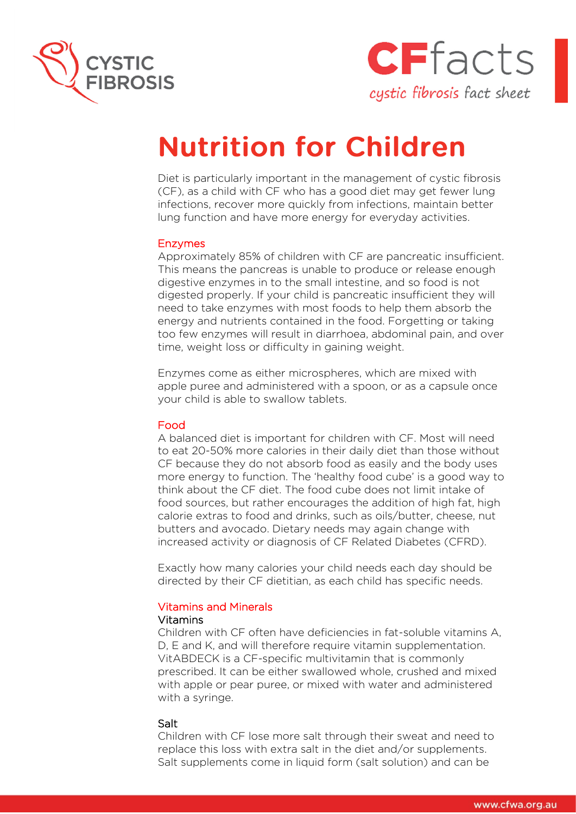



# **Nutrition for Children**

Diet is particularly important in the management of cystic fibrosis (CF), as a child with CF who has a good diet may get fewer lung infections, recover more quickly from infections, maintain better lung function and have more energy for everyday activities.

#### Enzymes

Approximately 85% of children with CF are pancreatic insufficient. This means the pancreas is unable to produce or release enough digestive enzymes in to the small intestine, and so food is not digested properly. If your child is pancreatic insufficient they will need to take enzymes with most foods to help them absorb the energy and nutrients contained in the food. Forgetting or taking too few enzymes will result in diarrhoea, abdominal pain, and over time, weight loss or difficulty in gaining weight.

Enzymes come as either microspheres, which are mixed with apple puree and administered with a spoon, or as a capsule once your child is able to swallow tablets.

#### Food

A balanced diet is important for children with CF. Most will need to eat 20-50% more calories in their daily diet than those without CF because they do not absorb food as easily and the body uses more energy to function. The 'healthy food cube' is a good way to think about the CF diet. The food cube does not limit intake of food sources, but rather encourages the addition of high fat, high calorie extras to food and drinks, such as oils/butter, cheese, nut butters and avocado. Dietary needs may again change with increased activity or diagnosis of CF Related Diabetes (CFRD).

Exactly how many calories your child needs each day should be directed by their CF dietitian, as each child has specific needs.

# Vitamins and Minerals

#### Vitamins

Children with CF often have deficiencies in fat-soluble vitamins A, D, E and K, and will therefore require vitamin supplementation. VitABDECK is a CF-specific multivitamin that is commonly prescribed. It can be either swallowed whole, crushed and mixed with apple or pear puree, or mixed with water and administered with a syringe.

#### Salt

Children with CF lose more salt through their sweat and need to replace this loss with extra salt in the diet and/or supplements. Salt supplements come in liquid form (salt solution) and can be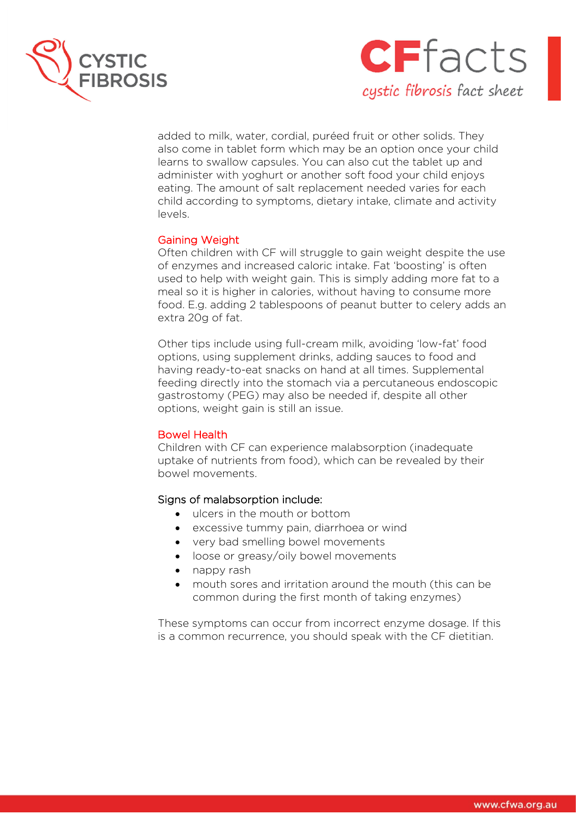



added to milk, water, cordial, puréed fruit or other solids. They also come in tablet form which may be an option once your child learns to swallow capsules. You can also cut the tablet up and administer with yoghurt or another soft food your child enjoys eating. The amount of salt replacement needed varies for each child according to symptoms, dietary intake, climate and activity levels.

# Gaining Weight

Often children with CF will struggle to gain weight despite the use of enzymes and increased caloric intake. Fat 'boosting' is often used to help with weight gain. This is simply adding more fat to a meal so it is higher in calories, without having to consume more food. E.g. adding 2 tablespoons of peanut butter to celery adds an extra 20g of fat.

Other tips include using full-cream milk, avoiding 'low-fat' food options, using supplement drinks, adding sauces to food and having ready-to-eat snacks on hand at all times. Supplemental feeding directly into the stomach via a percutaneous endoscopic gastrostomy (PEG) may also be needed if, despite all other options, weight gain is still an issue.

# Bowel Health

Children with CF can experience malabsorption (inadequate uptake of nutrients from food), which can be revealed by their bowel movements.

# Signs of malabsorption include:

- ulcers in the mouth or bottom
- excessive tummy pain, diarrhoea or wind
- very bad smelling bowel movements
- loose or greasy/oily bowel movements
- nappy rash
- mouth sores and irritation around the mouth (this can be common during the first month of taking enzymes)

These symptoms can occur from incorrect enzyme dosage. If this is a common recurrence, you should speak with the CF dietitian.